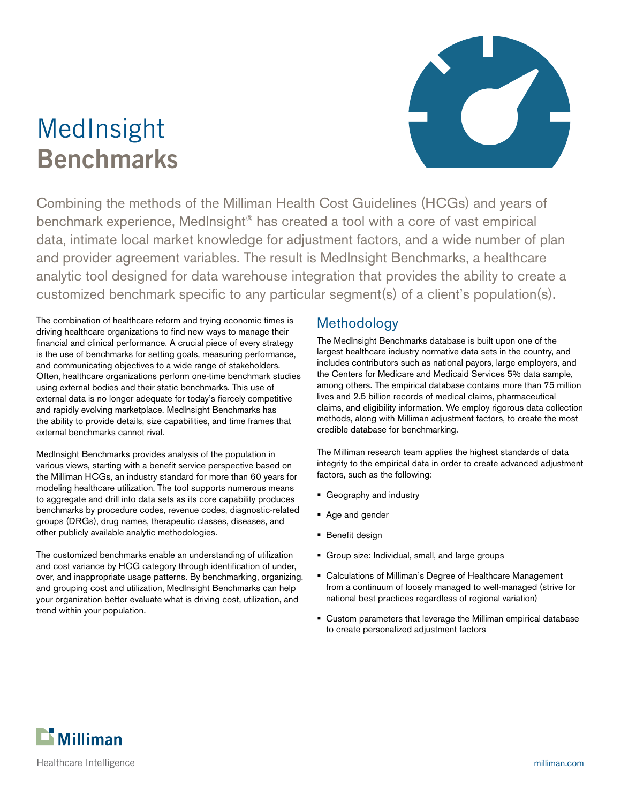# MedInsight **Benchmarks**



Combining the methods of the Milliman Health Cost Guidelines (HCGs) and years of benchmark experience, MedInsight® has created a tool with a core of vast empirical data, intimate local market knowledge for adjustment factors, and a wide number of plan and provider agreement variables. The result is MedInsight Benchmarks, a healthcare analytic tool designed for data warehouse integration that provides the ability to create a customized benchmark specific to any particular segment(s) of a client's population(s).

The combination of healthcare reform and trying economic times is driving healthcare organizations to find new ways to manage their financial and clinical performance. A crucial piece of every strategy is the use of benchmarks for setting goals, measuring performance, and communicating objectives to a wide range of stakeholders. Often, healthcare organizations perform one-time benchmark studies using external bodies and their static benchmarks. This use of external data is no longer adequate for today's fiercely competitive and rapidly evolving marketplace. MedInsight Benchmarks has the ability to provide details, size capabilities, and time frames that external benchmarks cannot rival.

MedInsight Benchmarks provides analysis of the population in various views, starting with a benefit service perspective based on the Milliman HCGs, an industry standard for more than 60 years for modeling healthcare utilization. The tool supports numerous means to aggregate and drill into data sets as its core capability produces benchmarks by procedure codes, revenue codes, diagnostic-related groups (DRGs), drug names, therapeutic classes, diseases, and other publicly available analytic methodologies.

The customized benchmarks enable an understanding of utilization and cost variance by HCG category through identification of under, over, and inappropriate usage patterns. By benchmarking, organizing, and grouping cost and utilization, MedInsight Benchmarks can help your organization better evaluate what is driving cost, utilization, and trend within your population.

## Methodology

The MedInsight Benchmarks database is built upon one of the largest healthcare industry normative data sets in the country, and includes contributors such as national payors, large employers, and the Centers for Medicare and Medicaid Services 5% data sample, among others. The empirical database contains more than 75 million lives and 2.5 billion records of medical claims, pharmaceutical claims, and eligibility information. We employ rigorous data collection methods, along with Milliman adjustment factors, to create the most credible database for benchmarking.

The Milliman research team applies the highest standards of data integrity to the empirical data in order to create advanced adjustment factors, such as the following:

- **Geography and industry**
- Age and gender
- **Benefit design**
- Group size: Individual, small, and large groups
- Calculations of Milliman's Degree of Healthcare Management from a continuum of loosely managed to well-managed (strive for national best practices regardless of regional variation)
- Custom parameters that leverage the Milliman empirical database to create personalized adjustment factors